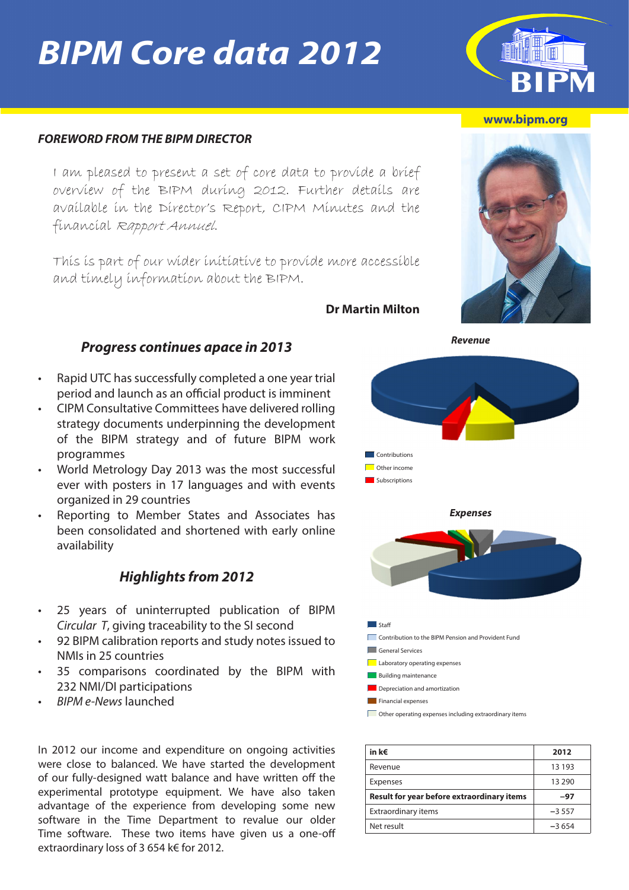# *BIPM Core data 2012*

#### *FOREWORD FROM THE BIPM DIRECTOR*

I am pleased to present a set of core data to provide a brief overview of the BIPM during 2012. Further details are available in the Director's Report, CIPM Minutes and the financial Rapport Annuel.

This is part of our wider initiative to provide more accessible and timely information about the BIPM.

**Dr Martin Milton**

### • Rapid UTC has successfully completed a one year trial

*Progress continues apace in 2013*

- period and launch as an official product is imminent • CIPM Consultative Committees have delivered rolling strategy documents underpinning the development of the BIPM strategy and of future BIPM work
- programmes • World Metrology Day 2013 was the most successful
- ever with posters in 17 languages and with events organized in 29 countries
- Reporting to Member States and Associates has been consolidated and shortened with early online availability

#### *Highlights from 2012*

- 25 years of uninterrupted publication of BIPM *Circular T*, giving traceability to the SI second
- 92 BIPM calibration reports and study notes issued to NMIs in 25 countries
- 35 comparisons coordinated by the BIPM with 232 NMI/DI participations
- *• BIPM e-News* launched

In 2012 our income and expenditure on ongoing activities were close to balanced. We have started the development of our fully-designed watt balance and have written off the experimental prototype equipment. We have also taken advantage of the experience from developing some new software in the Time Department to revalue our older Time software. These two items have given us a one-off extraordinary loss of 3 654 k€ for 2012.



| in k€                                             | 2012     |
|---------------------------------------------------|----------|
| Revenue                                           | 13 193   |
| Expenses                                          | 13 2 9 0 |
| <b>Result for year before extraordinary items</b> | -97      |
| <b>Extraordinary items</b>                        | $-3557$  |
| Net result                                        | $-3654$  |

#### **[www.bipm.org](https://www.bipm.org/en/home/)**



*Revenue*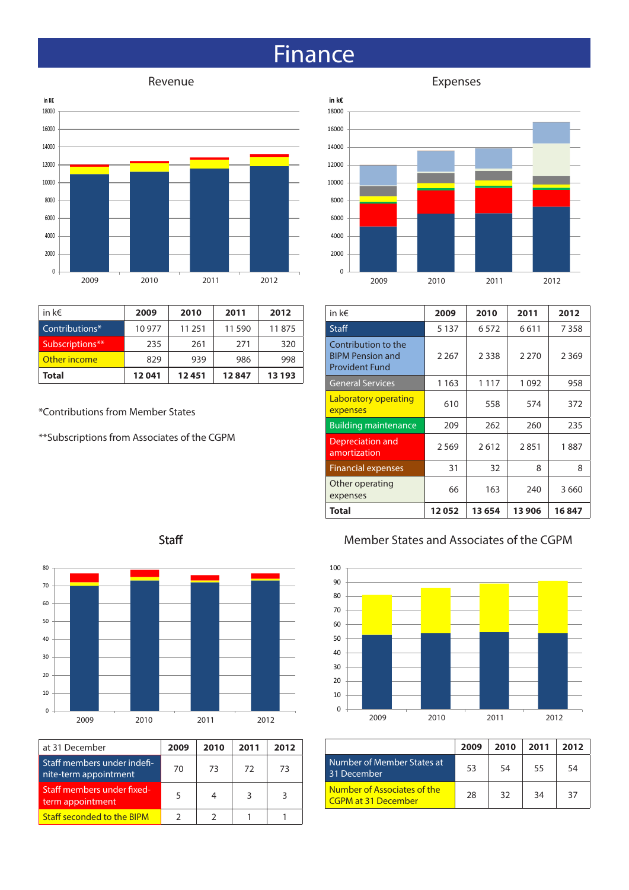### **Finance**

### Revenue **Expenses**



| in k $\epsilon$ | 2009   | 2010   | 2011   | 2012   |
|-----------------|--------|--------|--------|--------|
| Contributions*  | 10 977 | 11 251 | 11 590 | 11875  |
| Subscriptions** | 235    | 261    | 271    | 320    |
| Other income    | 829    | 939    | 986    | 998    |
| Total           | 12041  | 12451  | 12847  | 13 193 |

\*Contributions from Member States

\*\*Subscriptions from Associates of the CGPM



| in k€                                                                   | 2009    | 2010    | 2011    | 2012    |
|-------------------------------------------------------------------------|---------|---------|---------|---------|
| Staff                                                                   | 5 1 3 7 | 6572    | 6611    | 7358    |
| Contribution to the<br><b>BIPM Pension and</b><br><b>Provident Fund</b> | 2 2 6 7 | 2 3 3 8 | 2 2 7 0 | 2 3 6 9 |
| <b>General Services</b>                                                 | 1 1 6 3 | 1 1 1 7 | 1092    | 958     |
| Laboratory operating<br>expenses                                        | 610     | 558     | 574     | 372     |
| <b>Building maintenance</b>                                             | 209     | 262     | 260     | 235     |
| Depreciation and<br>amortization                                        | 2569    | 2612    | 2851    | 1887    |
| <b>Financial expenses</b>                                               | 31      | 32      | 8       | 8       |
| Other operating<br>expenses                                             | 66      | 163     | 240     | 3660    |
| Total                                                                   | 12052   | 13 654  | 13 906  | 16847   |

#### Member States and Associates of the CGPM



|                                                           | 2009 | 2010 | 2011 | 2012 |
|-----------------------------------------------------------|------|------|------|------|
| Number of Member States at<br>31 December                 | 53   | 54   | 55   | 54   |
| Number of Associates of the<br><b>CGPM at 31 December</b> | 28   | 32   | 34   | 37   |





| at 31 December                                       | 2009 | 2010 | 2011 | 2012 |
|------------------------------------------------------|------|------|------|------|
| Staff members under indefi-<br>nite-term appointment | 70   | 73   | 72   | 73   |
| Staff members under fixed-<br>term appointment       |      |      |      |      |
| <b>Staff seconded to the BIPM</b>                    |      |      |      |      |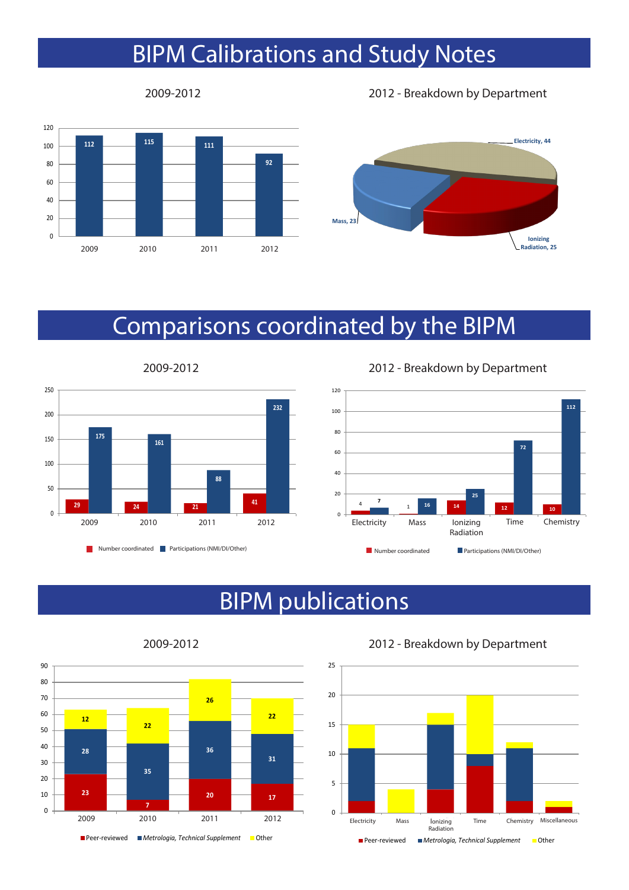### BIPM Calibrations and Study Notes



2009-2012 2012 - Breakdown by Department



### Comparisons coordinated by the BIPM



2009-2012 2012 - Breakdown by Department



### BIPM publications



2009-2012 2012 - Breakdown by Department